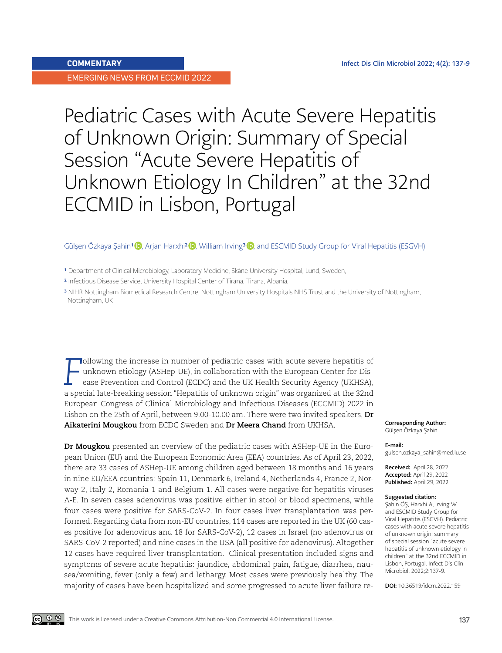EMERGING NEWS FROM ECCMID 2022

## Pediatric Cases with Acute Severe Hepatitis of Unknown Origin: Summary of Special Session "Acute Severe Hepatitis of Unknown Etiology In Children" at the 32nd ECCMID in Lisbon, Portugal

## Gülsen Özkaya Şahin1 **D**, Arjan Harxhi<sup>2</sup> D, William Irving<sup>3</sup> D, and ESCMID Study Group for Viral Hepatitis (ESGVH)

**F** and the increase in number of pediatric cases with acute severe hepatitis of unknown etiology (ASHep-UE), in collaboration with the European Center for Disease Prevention and Control (ECDC) and the UK Health Security A **Tollowing the increase in number of pediatric cases with acute severe hepatitis of** unknown etiology (ASHep-UE), in collaboration with the European Center for Disease Prevention and Control (ECDC) and the UK Health Security Agency (UKHSA), European Congress of Clinical Microbiology and Infectious Diseases (ECCMID) 2022 in Lisbon on the 25th of April, between 9.00-10.00 am. There were two invited speakers, **Dr Aikaterini Mougkou** from ECDC Sweden and **Dr Meera Chand** from UKHSA.

**Dr Mougkou** presented an overview of the pediatric cases with ASHep-UE in the European Union (EU) and the European Economic Area (EEA) countries. As of April 23, 2022, there are 33 cases of ASHep-UE among children aged between 18 months and 16 years in nine EU/EEA countries: Spain 11, Denmark 6, Ireland 4, Netherlands 4, France 2, Norway 2, Italy 2, Romania 1 and Belgium 1. All cases were negative for hepatitis viruses A-E. In seven cases adenovirus was positive either in stool or blood specimens, while four cases were positive for SARS-CoV-2. In four cases liver transplantation was performed. Regarding data from non-EU countries, 114 cases are reported in the UK (60 cases positive for adenovirus and 18 for SARS-CoV-2), 12 cases in Israel (no adenovirus or SARS-CoV-2 reported) and nine cases in the USA (all positive for adenovirus). Altogether 12 cases have required liver transplantation. Clinical presentation included signs and symptoms of severe acute hepatitis: jaundice, abdominal pain, fatigue, diarrhea, nausea/vomiting, fever (only a few) and lethargy. Most cases were previously healthy. The majority of cases have been hospitalized and some progressed to acute liver failure reCorresponding Author: Gülşen Özkaya Şahin

## E-mail:

gulsen.ozkaya\_sahin@med.lu.se

Received: April 28, 2022 Accepted: April 29, 2022 Published: April 29, 2022

## Suggested citation:

Şahin ÖŞ, Harxhi A, Irving W and ESCMID Study Group for Viral Hepatitis (ESGVH). Pediatric cases with acute severe hepatitis of unknown origin: summary of special session "acute severe hepatitis of unknown etiology in children" at the 32nd ECCMID in Lisbon, Portugal. Infect Dis Clin Microbiol. 2022;2:137-9.

DOI: 10.36519/idcm.2022.159

<sup>&</sup>lt;sup>1</sup> Department of Clinical Microbiology, Laboratory Medicine, Skåne University Hospital, Lund, Sweden,

<sup>2</sup> Infectious Disease Service, University Hospital Center of Tirana, Tirana, Albania,

<sup>3</sup> NIHR Nottingham Biomedical Research Centre, Nottingham University Hospitals NHS Trust and the University of Nottingham, Nottingham, UK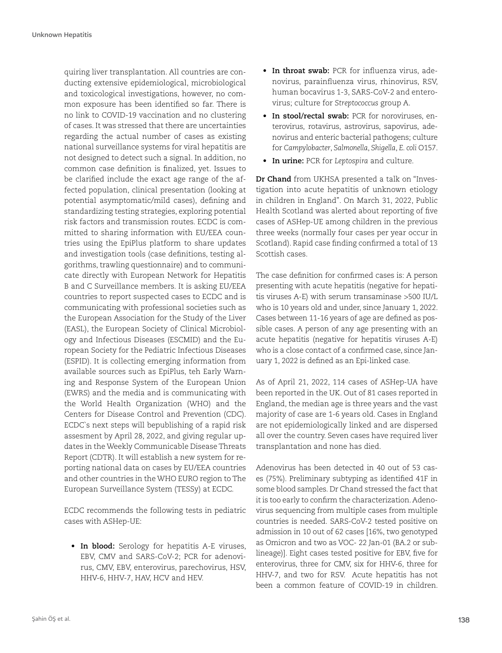quiring liver transplantation. All countries are conducting extensive epidemiological, microbiological and toxicological investigations, however, no common exposure has been identified so far. There is no link to COVID-19 vaccination and no clustering of cases. It was stressed that there are uncertainties regarding the actual number of cases as existing national surveillance systems for viral hepatitis are not designed to detect such a signal. In addition, no common case definition is finalized, yet. Issues to be clarified include the exact age range of the affected population, clinical presentation (looking at potential asymptomatic/mild cases), defining and standardizing testing strategies, exploring potential risk factors and transmission routes. ECDC is committed to sharing information with EU/EEA countries using the EpiPlus platform to share updates and investigation tools (case definitions, testing algorithms, trawling questionnaire) and to communicate directly with European Network for Hepatitis B and C Surveillance members. It is asking EU/EEA countries to report suspected cases to ECDC and is communicating with professional societies such as the European Association for the Study of the Liver (EASL), the European Society of Clinical Microbiology and Infectious Diseases (ESCMID) and the European Society for the Pediatric Infectious Diseases (ESPID). It is collecting emerging information from available sources such as EpiPlus, teh Early Warning and Response System of the European Union (EWRS) and the media and is communicating with the World Health Organization (WHO) and the Centers for Disease Control and Prevention (CDC). ECDC`s next steps will bepublishing of a rapid risk assesment by April 28, 2022, and giving regular updates in the Weekly Communicable Disease Threats Report (CDTR). It will establish a new system for reporting national data on cases by EU/EEA countries and other countries in the WHO EURO region to The European Surveillance System (TESSy) at ECDC.

ECDC recommends the following tests in pediatric cases with ASHep-UE:

**• In blood:** Serology for hepatitis A-E viruses, EBV, CMV and SARS-CoV-2; PCR for adenovirus, CMV, EBV, enterovirus, parechovirus, HSV, HHV-6, HHV-7, HAV, HCV and HEV.

- **• In throat swab:** PCR for influenza virus, adenovirus, parainfluenza virus, rhinovirus, RSV, human bocavirus 1-3, SARS-CoV-2 and enterovirus; culture for *Streptococcus* group A.
- **• In stool/rectal swab:** PCR for noroviruses, enterovirus, rotavirus, astrovirus, sapovirus, adenovirus and enteric bacterial pathogens; culture for *Campylobacter*, *Salmonella*, *Shigella*, *E. coli* O157.
- **• In urine:** PCR for *Leptospira* and culture.

**Dr Chand** from UKHSA presented a talk on "Investigation into acute hepatitis of unknown etiology in children in England". On March 31, 2022, Public Health Scotland was alerted about reporting of five cases of ASHep-UE among children in the previous three weeks (normally four cases per year occur in Scotland). Rapid case finding confirmed a total of 13 Scottish cases.

The case definition for confirmed cases is: A person presenting with acute hepatitis (negative for hepatitis viruses A-E) with serum transaminase >500 IU/L who is 10 years old and under, since January 1, 2022. Cases between 11-16 years of age are defined as possible cases. A person of any age presenting with an acute hepatitis (negative for hepatitis viruses A-E) who is a close contact of a confirmed case, since January 1, 2022 is defined as an Epi-linked case.

As of April 21, 2022, 114 cases of ASHep-UA have been reported in the UK. Out of 81 cases reported in England, the median age is three years and the vast majority of case are 1-6 years old. Cases in England are not epidemiologically linked and are dispersed all over the country. Seven cases have required liver transplantation and none has died.

Adenovirus has been detected in 40 out of 53 cases (75%). Preliminary subtyping as identified 41F in some blood samples. Dr Chand stressed the fact that it is too early to confirm the characterization. Adenovirus sequencing from multiple cases from multiple countries is needed. SARS-CoV-2 tested positive on admission in 10 out of 62 cases [16%, two genotyped as Omicron and two as VOC- 22 Jan-01 (BA.2 or sublineage)]. Eight cases tested positive for EBV, five for enterovirus, three for CMV, six for HHV-6, three for HHV-7, and two for RSV. Acute hepatitis has not been a common feature of COVID-19 in children.